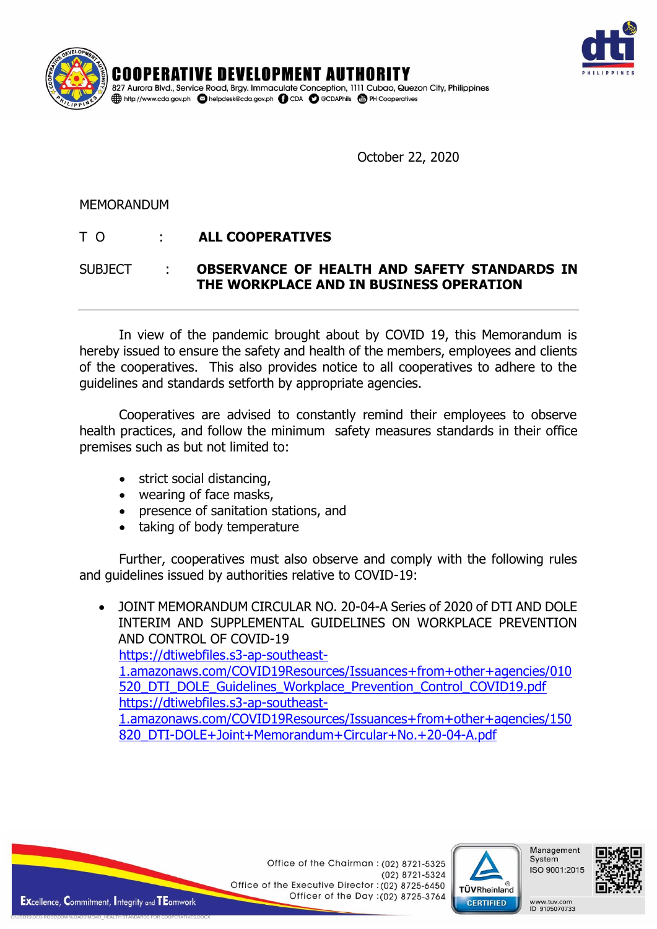



October 22, 2020

## MEMORANDUM

## T O : **ALL COOPERATIVES**

## SUBJECT : **OBSERVANCE OF HEALTH AND SAFETY STANDARDS IN THE WORKPLACE AND IN BUSINESS OPERATION**

In view of the pandemic brought about by COVID 19, this Memorandum is hereby issued to ensure the safety and health of the members, employees and clients of the cooperatives. This also provides notice to all cooperatives to adhere to the guidelines and standards setforth by appropriate agencies.

Cooperatives are advised to constantly remind their employees to observe health practices, and follow the minimum safety measures standards in their office premises such as but not limited to:

- strict social distancing,
- wearing of face masks,
- presence of sanitation stations, and
- taking of body temperature

Further, cooperatives must also observe and comply with the following rules and guidelines issued by authorities relative to COVID-19:

 JOINT MEMORANDUM CIRCULAR NO. 20-04-A Series of 2020 of DTI AND DOLE INTERIM AND SUPPLEMENTAL GUIDELINES ON WORKPLACE PREVENTION AND CONTROL OF COVID-19 [https://dtiwebfiles.s3-ap-southeast-](https://dtiwebfiles.s3-ap-southeast-1.amazonaws.com/COVID19Resources/Issuances+from+other+agencies/010520_DTI_DOLE_Guidelines_Workplace_Prevention_Control_COVID19.pdf)[1.amazonaws.com/COVID19Resources/Issuances+from+other+agencies/010](https://dtiwebfiles.s3-ap-southeast-1.amazonaws.com/COVID19Resources/Issuances+from+other+agencies/010520_DTI_DOLE_Guidelines_Workplace_Prevention_Control_COVID19.pdf) 520 DTI\_DOLE\_Guidelines\_Workplace\_Prevention\_Control\_COVID19.pdf [https://dtiwebfiles.s3-ap-southeast-](https://dtiwebfiles.s3-ap-southeast-1.amazonaws.com/COVID19Resources/Issuances+from+other+agencies/150820_DTI-DOLE+Joint+Memorandum+Circular+No.+20-04-A.pdf)[1.amazonaws.com/COVID19Resources/Issuances+from+other+agencies/150](https://dtiwebfiles.s3-ap-southeast-1.amazonaws.com/COVID19Resources/Issuances+from+other+agencies/150820_DTI-DOLE+Joint+Memorandum+Circular+No.+20-04-A.pdf) [820\\_DTI-DOLE+Joint+Memorandum+Circular+No.+20-04-A.pdf](https://dtiwebfiles.s3-ap-southeast-1.amazonaws.com/COVID19Resources/Issuances+from+other+agencies/150820_DTI-DOLE+Joint+Memorandum+Circular+No.+20-04-A.pdf)